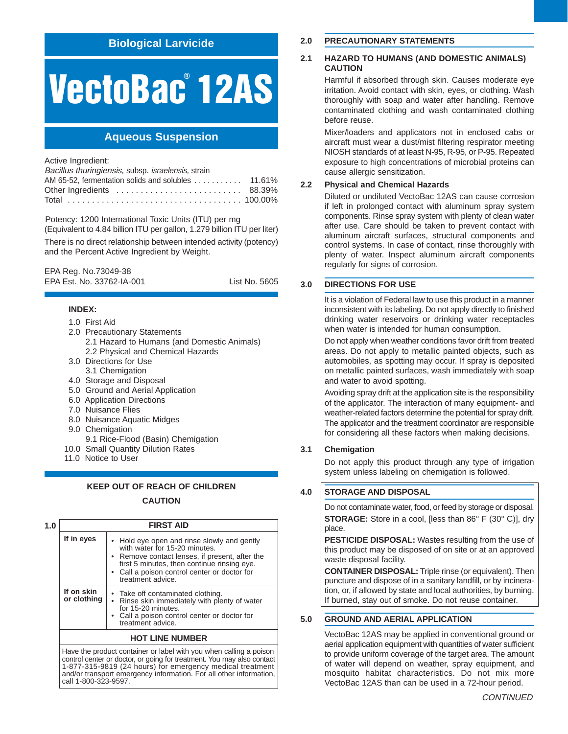## **Biological Larvicide**

# **VectoBac 12AS ®**

# **Aqueous Suspension**

Active Ingredient:

Bacillus thuringiensis, subsp. israelensis, strain

Potency: 1200 International Toxic Units (ITU) per mg

(Equivalent to 4.84 billion ITU per gallon, 1.279 billion ITU per liter) There is no direct relationship between intended activity (potency) and the Percent Active Ingredient by Weight.

EPA Reg. No.73049-38 EPA Est. No. 33762-IA-001 List No. 5605

## **INDEX:**

- 1.0 First Aid
- 2.0 Precautionary Statements
	- 2.1 Hazard to Humans (and Domestic Animals) 2.2 Physical and Chemical Hazards
- 3.0 Directions for Use 3.1 Chemigation
- 4.0 Storage and Disposal
- 5.0 Ground and Aerial Application
- 6.0 Application Directions
- 7.0 Nuisance Flies
- 8.0 Nuisance Aquatic Midges
- 9.0 Chemigation
- 9.1 Rice-Flood (Basin) Chemigation
- 10.0 Small Quantity Dilution Rates
- 11.0 Notice to User

## **KEEP OUT OF REACH OF CHILDREN CAUTION**

| 1.0                    | <b>FIRST AID</b>          |                                                                                                                                                                                                                                                    |  |  |  |
|------------------------|---------------------------|----------------------------------------------------------------------------------------------------------------------------------------------------------------------------------------------------------------------------------------------------|--|--|--|
|                        | If in eyes                | • Hold eye open and rinse slowly and gently<br>with water for 15-20 minutes.<br>• Remove contact lenses, if present, after the<br>first 5 minutes, then continue rinsing eye.<br>• Call a poison control center or doctor for<br>treatment advice. |  |  |  |
|                        | If on skin<br>or clothing | • Take off contaminated clothing.<br>• Rinse skin immediately with plenty of water<br>for 15-20 minutes.<br>• Call a poison control center or doctor for<br>treatment advice.                                                                      |  |  |  |
| <b>HOT LINE NUMBER</b> |                           |                                                                                                                                                                                                                                                    |  |  |  |

Have the product container or label with you when calling a poison control center or doctor, or going for treatment. You may also contact 1-877-315-9819 (24 hours) for emergency medical treatment and/or transport emergency information. For all other information, call 1-800-323-9597.

## **2.0 PRECAUTIONARY STATEMENTS**

## **2.1 HAZARD TO HUMANS (AND DOMESTIC ANIMALS) CAUTION**

Harmful if absorbed through skin. Causes moderate eye irritation. Avoid contact with skin, eyes, or clothing. Wash thoroughly with soap and water after handling. Remove contaminated clothing and wash contaminated clothing before reuse.

Mixer/loaders and applicators not in enclosed cabs or aircraft must wear a dust/mist filtering respirator meeting NIOSH standards of at least N-95, R-95, or P-95. Repeated exposure to high concentrations of microbial proteins can cause allergic sensitization.

## **2.2 Physical and Chemical Hazards**

Diluted or undiluted VectoBac 12AS can cause corrosion if left in prolonged contact with aluminum spray system components. Rinse spray system with plenty of clean water after use. Care should be taken to prevent contact with aluminum aircraft surfaces, structural components and control systems. In case of contact, rinse thoroughly with plenty of water. Inspect aluminum aircraft components regularly for signs of corrosion.

## **3.0 DIRECTIONS FOR USE**

It is a violation of Federal law to use this product in a manner inconsistent with its labeling. Do not apply directly to finished drinking water reservoirs or drinking water receptacles when water is intended for human consumption.

Do not apply when weather conditions favor drift from treated areas. Do not apply to metallic painted objects, such as automobiles, as spotting may occur. If spray is deposited on metallic painted surfaces, wash immediately with soap and water to avoid spotting.

Avoiding spray drift at the application site is the responsibility of the applicator. The interaction of many equipment- and weather-related factors determine the potential for spray drift. The applicator and the treatment coordinator are responsible for considering all these factors when making decisions.

## **3.1 Chemigation**

Do not apply this product through any type of irrigation system unless labeling on chemigation is followed.

## **4.0 STORAGE AND DISPOSAL**

Do not contaminate water, food, or feed by storage or disposal. **STORAGE:** Store in a cool, [less than 86° F (30° C)], dry place.

**PESTICIDE DISPOSAL:** Wastes resulting from the use of this product may be disposed of on site or at an approved waste disposal facility.

**CONTAINER DISPOSAL:** Triple rinse (or equivalent). Then puncture and dispose of in a sanitary landfill, or by incineration, or, if allowed by state and local authorities, by burning. If burned, stay out of smoke. Do not reuse container.

## **5.0 GROUND AND AERIAL APPLICATION**

VectoBac 12AS may be applied in conventional ground or aerial application equipment with quantities of water sufficient to provide uniform coverage of the target area. The amount of water will depend on weather, spray equipment, and mosquito habitat characteristics. Do not mix more VectoBac 12AS than can be used in a 72-hour period.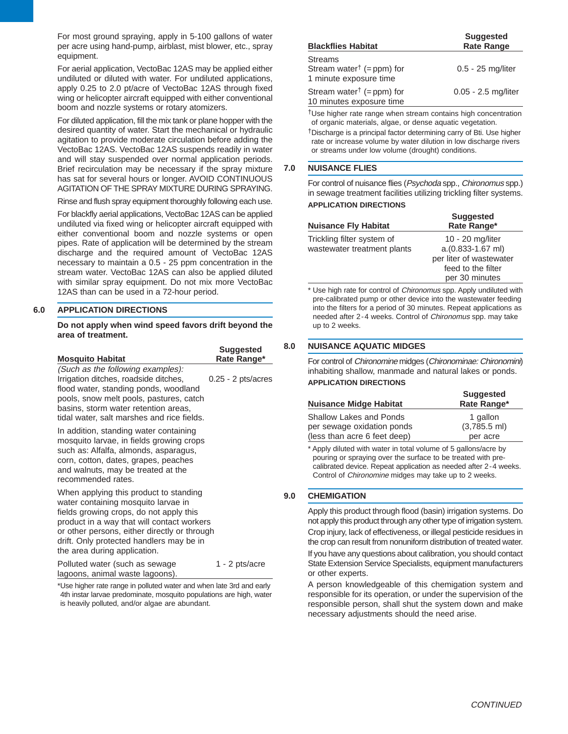For most ground spraying, apply in 5-100 gallons of water per acre using hand-pump, airblast, mist blower, etc., spray equipment.

For aerial application, VectoBac 12AS may be applied either undiluted or diluted with water. For undiluted applications, apply 0.25 to 2.0 pt/acre of VectoBac 12AS through fixed wing or helicopter aircraft equipped with either conventional boom and nozzle systems or rotary atomizers.

For diluted application, fill the mix tank or plane hopper with the desired quantity of water. Start the mechanical or hydraulic agitation to provide moderate circulation before adding the VectoBac 12AS. VectoBac 12AS suspends readily in water and will stay suspended over normal application periods. Brief recirculation may be necessary if the spray mixture has sat for several hours or longer. AVOID CONTINUOUS AGITATION OF THE SPRAY MIXTURE DURING SPRAYING.

Rinse and flush spray equipment thoroughly following each use.

For blackfly aerial applications, VectoBac 12AS can be applied undiluted via fixed wing or helicopter aircraft equipped with either conventional boom and nozzle systems or open pipes. Rate of application will be determined by the stream discharge and the required amount of VectoBac 12AS necessary to maintain a 0.5 - 25 ppm concentration in the stream water. VectoBac 12AS can also be applied diluted with similar spray equipment. Do not mix more VectoBac 12AS than can be used in a 72-hour period.

#### **6.0 APPLICATION DIRECTIONS**

**Do not apply when wind speed favors drift beyond the area of treatment.**

| <b>Mosquito Habitat</b>                                                                                                                                                                                                                                                                            | <b>Suggested</b><br>Rate Range* |
|----------------------------------------------------------------------------------------------------------------------------------------------------------------------------------------------------------------------------------------------------------------------------------------------------|---------------------------------|
| (Such as the following examples):<br>Irrigation ditches, roadside ditches,<br>flood water, standing ponds, woodland<br>pools, snow melt pools, pastures, catch<br>basins, storm water retention areas,<br>tidal water, salt marshes and rice fields.                                               | $0.25 - 2$ pts/acres            |
| In addition, standing water containing<br>mosquito larvae, in fields growing crops<br>such as: Alfalfa, almonds, asparagus,<br>corn, cotton, dates, grapes, peaches<br>and walnuts, may be treated at the<br>recommended rates.                                                                    |                                 |
| When applying this product to standing<br>water containing mosquito larvae in<br>fields growing crops, do not apply this<br>product in a way that will contact workers<br>or other persons, either directly or through<br>drift. Only protected handlers may be in<br>the area during application. |                                 |
| Polluted water (such as sewage<br>lagoons, animal waste lagoons).<br>t lee higher rote ronge in polluted water and when lote 2rd and oerly                                                                                                                                                         | 1 - 2 pts/acre                  |

Use higher rate range in polluted water and when late 3rd and early 4th instar larvae predominate, mosquito populations are high, water is heavily polluted, and/or algae are abundant.

| <b>Blackflies Habitat</b>                                                            | <b>Suggested</b><br><b>Rate Range</b> |  |
|--------------------------------------------------------------------------------------|---------------------------------------|--|
| <b>Streams</b><br>Stream water <sup>†</sup> (= $ppm$ ) for<br>1 minute exposure time | $0.5 - 25$ mg/liter                   |  |
| Stream water <sup>†</sup> (= ppm) for<br>10 minutes exposure time                    | 0.05 - 2.5 mg/liter                   |  |

†Use higher rate range when stream contains high concentration of organic materials, algae, or dense aquatic vegetation.

†Discharge is a principal factor determining carry of Bti. Use higher rate or increase volume by water dilution in low discharge rivers or streams under low volume (drought) conditions.

#### **7.0 NUISANCE FLIES**

For control of nuisance flies (Psychoda spp., Chironomus spp.) in sewage treatment facilities utilizing trickling filter systems. **APPLICATION DIRECTIONS**

|                             | <b>Suggested</b>        |  |
|-----------------------------|-------------------------|--|
| <b>Nuisance Fly Habitat</b> | Rate Range*             |  |
| Trickling filter system of  | 10 - 20 mg/liter        |  |
| wastewater treatment plants | a.(0.833-1.67 ml)       |  |
|                             | per liter of wastewater |  |
|                             | feed to the filter      |  |
|                             | per 30 minutes          |  |

\* Use high rate for control of Chironomus spp. Apply undiluted with pre-calibrated pump or other device into the wastewater feeding into the filters for a period of 30 minutes. Repeat applications as needed after 2-4 weeks. Control of Chironomus spp. may take up to 2 weeks.

## **8.0 NUISANCE AQUATIC MIDGES**

For control of Chironomine midges (Chironominae: Chironomini) inhabiting shallow, manmade and natural lakes or ponds. **APPLICATION DIRECTIONS**

| <b>Nuisance Midge Habitat</b> | <b>Suggested</b><br>Rate Range* |
|-------------------------------|---------------------------------|
| Shallow Lakes and Ponds       | 1 gallon                        |
| per sewage oxidation ponds    | $(3,785.5$ ml)                  |
| (less than acre 6 feet deep)  | per acre                        |

\* Apply diluted with water in total volume of 5 gallons/acre by pouring or spraying over the surface to be treated with precalibrated device. Repeat application as needed after 2-4 weeks. Control of Chironomine midges may take up to 2 weeks.

## **9.0 CHEMIGATION**

Apply this product through flood (basin) irrigation systems. Do not apply this product through any other type of irrigation system.

Crop injury, lack of effectiveness, or illegal pesticide residues in the crop can result from nonuniform distribution of treated water.

If you have any questions about calibration, you should contact State Extension Service Specialists, equipment manufacturers or other experts.

A person knowledgeable of this chemigation system and responsible for its operation, or under the supervision of the responsible person, shall shut the system down and make necessary adjustments should the need arise.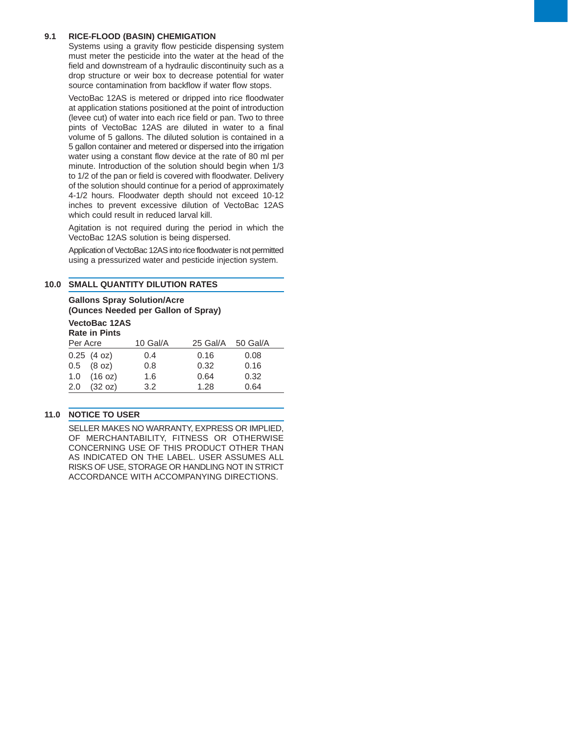## **9.1 RICE-FLOOD (BASIN) CHEMIGATION**

Systems using a gravity flow pesticide dispensing system must meter the pesticide into the water at the head of the field and downstream of a hydraulic discontinuity such as a drop structure or weir box to decrease potential for water source contamination from backflow if water flow stops.

VectoBac 12AS is metered or dripped into rice floodwater at application stations positioned at the point of introduction (levee cut) of water into each rice field or pan. Two to three pints of VectoBac 12AS are diluted in water to a final volume of 5 gallons. The diluted solution is contained in a 5 gallon container and metered or dispersed into the irrigation water using a constant flow device at the rate of 80 ml per minute. Introduction of the solution should begin when 1/3 to 1/2 of the pan or field is covered with floodwater. Delivery of the solution should continue for a period of approximately 4-1/2 hours. Floodwater depth should not exceed 10-12 inches to prevent excessive dilution of VectoBac 12AS which could result in reduced larval kill.

Agitation is not required during the period in which the VectoBac 12AS solution is being dispersed.

Application of VectoBac 12AS into rice floodwater is not permitted using a pressurized water and pesticide injection system.

## **10.0 SMALL QUANTITY DILUTION RATES**

**Gallons Spray Solution/Acre (Ounces Needed per Gallon of Spray) VectoBac 12AS Rate in Pints** Per Acre 10 Gal/A 25 Gal/A 50 Gal/A 0.25 (4 oz) 0.4 0.16 0.08 0.5 (8 oz) 0.8 0.32 0.16 1.0 (16 oz) 1.6 0.64 0.32 2.0 (32 oz) 3.2 1.28 0.64

## **11.0 NOTICE TO USER**

SELLER MAKES NO WARRANTY, EXPRESS OR IMPLIED, OF MERCHANTABILITY, FITNESS OR OTHERWISE CONCERNING USE OF THIS PRODUCT OTHER THAN AS INDICATED ON THE LABEL. USER ASSUMES ALL RISKS OF USE, STORAGE OR HANDLING NOT IN STRICT ACCORDANCE WITH ACCOMPANYING DIRECTIONS.